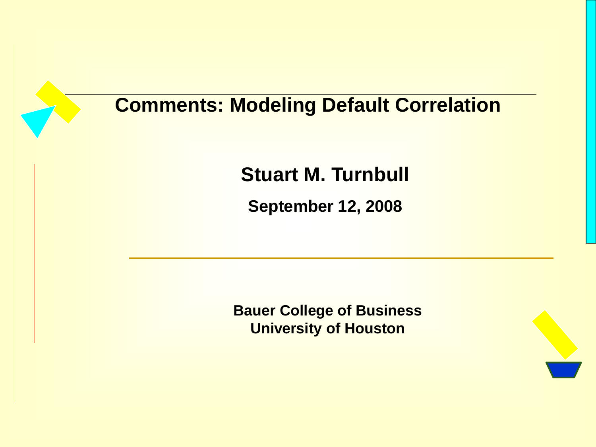# **Comments: Modeling Default Correlation**

**Stuart M. Turnbull**

**September 12, 2008**

**Bauer College of Business University of Houston**

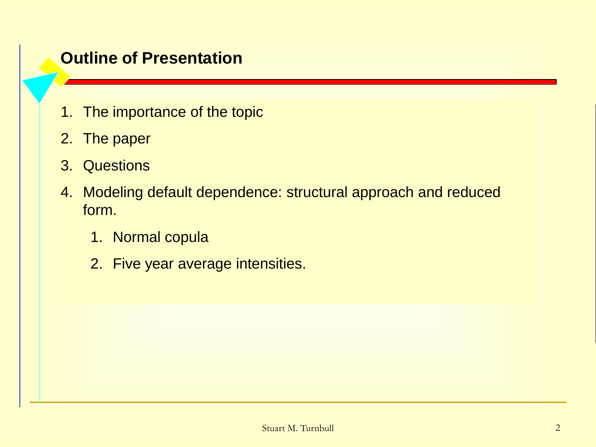#### **Outline of Presentation**

- 1. The importance of the topic
- 2. The paper
- 3. Questions
- 4. Modeling default dependence: structural approach and reduced form.
	- 1. Normal copula
	- 2. Five year average intensities.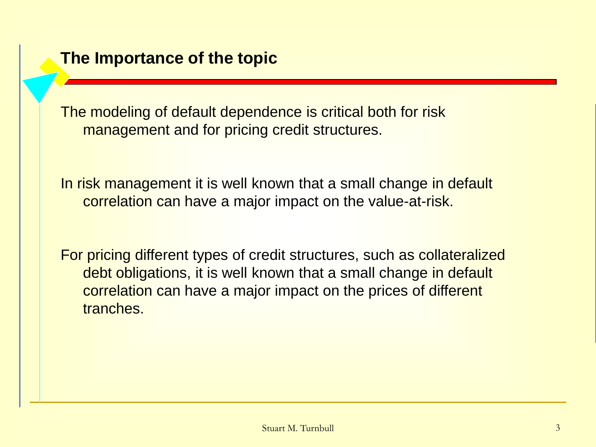The modeling of default dependence is critical both for risk management and for pricing credit structures.

In risk management it is well known that a small change in default correlation can have a major impact on the value-at-risk.

For pricing different types of credit structures, such as collateralized debt obligations, it is well known that a small change in default correlation can have a major impact on the prices of different tranches.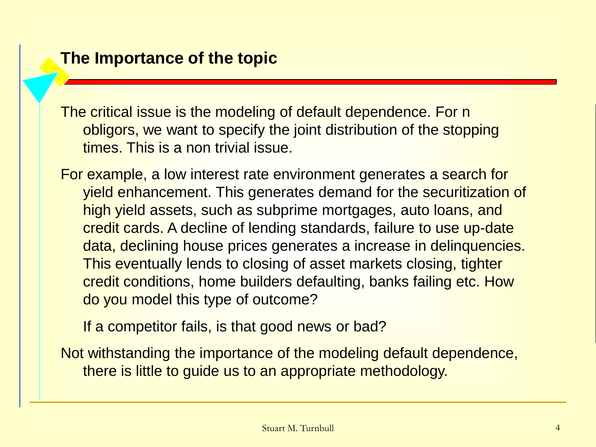The critical issue is the modeling of default dependence. For n obligors, we want to specify the joint distribution of the stopping times. This is a non trivial issue.

For example, a low interest rate environment generates a search for yield enhancement. This generates demand for the securitization of high yield assets, such as subprime mortgages, auto loans, and credit cards. A decline of lending standards, failure to use up-date data, declining house prices generates a increase in delinquencies. This eventually lends to closing of asset markets closing, tighter credit conditions, home builders defaulting, banks failing etc. How do you model this type of outcome?

If a competitor fails, is that good news or bad?

Not withstanding the importance of the modeling default dependence, there is little to guide us to an appropriate methodology.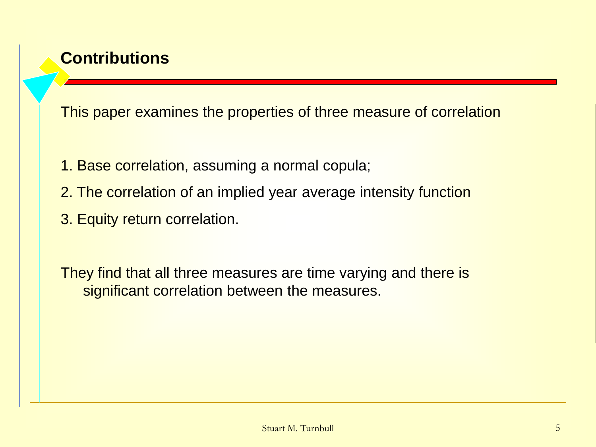# **Contributions**

This paper examines the properties of three measure of correlation

- 1. Base correlation, assuming a normal copula;
- 2. The correlation of an implied year average intensity function
- 3. Equity return correlation.

They find that all three measures are time varying and there is significant correlation between the measures.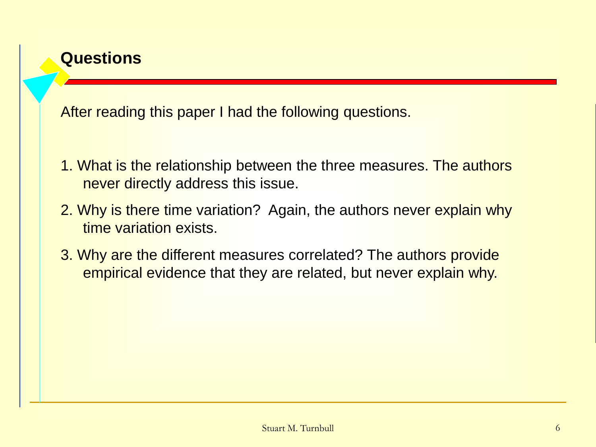

3. Why are the different measures correlated? The authors provide

empirical evidence that they are related, but never explain why.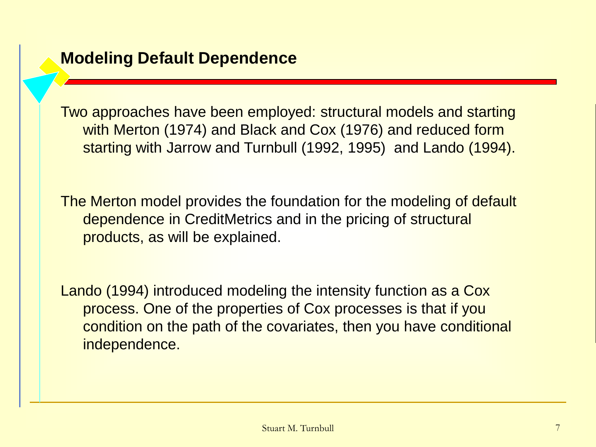Two approaches have been employed: structural models and starting with Merton (1974) and Black and Cox (1976) and reduced form starting with Jarrow and Turnbull (1992, 1995) and Lando (1994).

The Merton model provides the foundation for the modeling of default dependence in CreditMetrics and in the pricing of structural products, as will be explained.

Lando (1994) introduced modeling the intensity function as a Cox process. One of the properties of Cox processes is that if you condition on the path of the covariates, then you have conditional independence.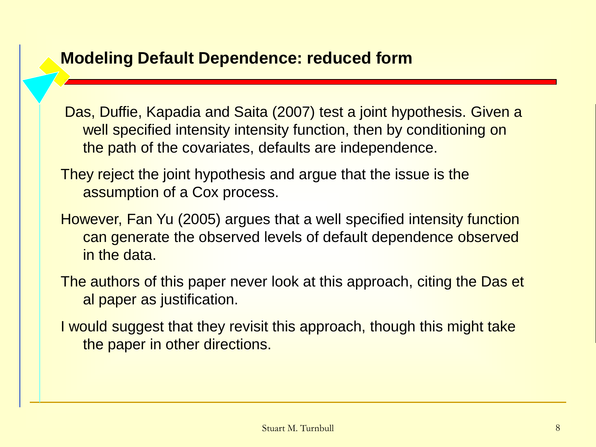## **Modeling Default Dependence: reduced form**

Das, Duffie, Kapadia and Saita (2007) test a joint hypothesis. Given a well specified intensity intensity function, then by conditioning on the path of the covariates, defaults are independence.

- They reject the joint hypothesis and argue that the issue is the assumption of a Cox process.
- However, Fan Yu (2005) argues that a well specified intensity function can generate the observed levels of default dependence observed in the data.
- The authors of this paper never look at this approach, citing the Das et al paper as justification.
- I would suggest that they revisit this approach, though this might take the paper in other directions.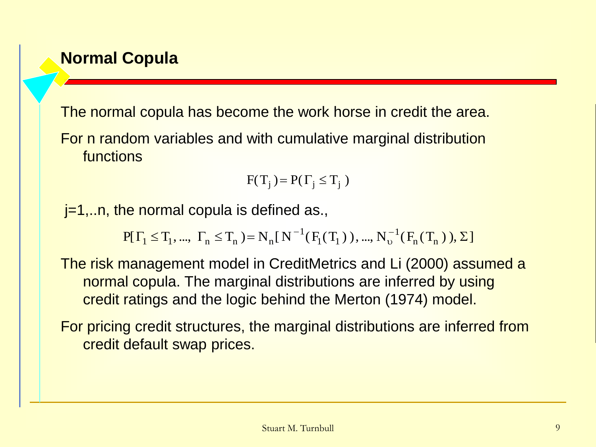## **Normal Copula**

The normal copula has become the work horse in credit the area.

For n random variables and with cumulative marginal distribution functions

$$
F(T_j) = P(\Gamma_j \le T_j)
$$

 $j=1,...n$ , the normal copula is defined as.,

 $P[\Gamma_1 \leq T_1, ..., \Gamma_n \leq T_n] = N_n[N^{-1}(F_1(T_1)), ..., N_v^{-1}(F_n(T_n)), \Sigma]$ 1  $1(11)$  $\Gamma_1 \leq T_1, ..., \Gamma_n \leq T_n$  = N<sub>n</sub>[N<sup>-1</sup>(F<sub>1</sub>(T<sub>1</sub>)), ..., N<sub>v</sub><sup>-1</sup>(F<sub>n</sub>(T<sub>n</sub>)),  $\Sigma$  $\upsilon$  $\overline{\phantom{0}}$ 

The risk management model in CreditMetrics and Li (2000) assumed a normal copula. The marginal distributions are inferred by using credit ratings and the logic behind the Merton (1974) model.

For pricing credit structures, the marginal distributions are inferred from credit default swap prices.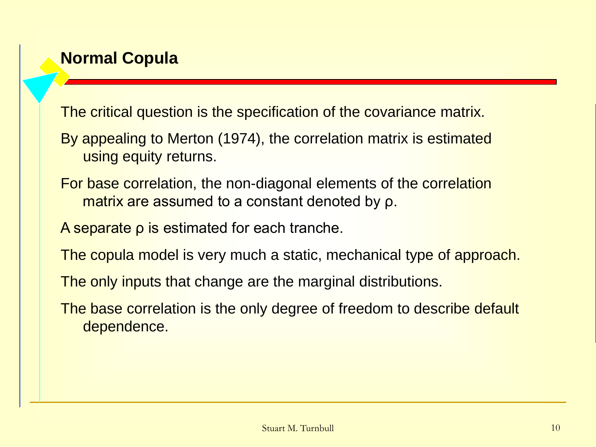# **Normal Copula**

The critical question is the specification of the covariance matrix.

- By appealing to Merton (1974), the correlation matrix is estimated using equity returns.
- For base correlation, the non-diagonal elements of the correlation matrix are assumed to a constant denoted by ρ.
- A separate ρ is estimated for each tranche.
- The copula model is very much a static, mechanical type of approach.
- The only inputs that change are the marginal distributions.
- The base correlation is the only degree of freedom to describe default dependence.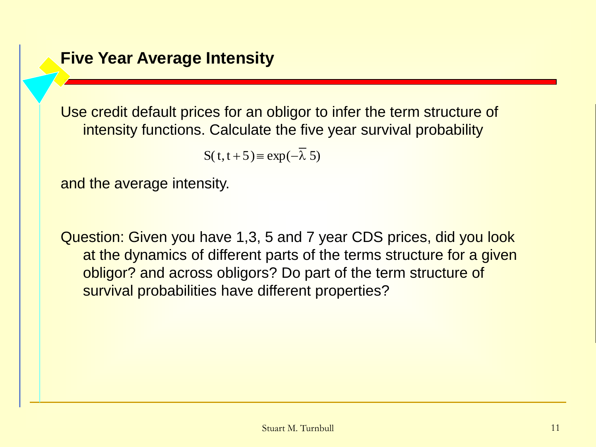#### **Five Year Average Intensity**

Use credit default prices for an obligor to infer the term structure of intensity functions. Calculate the five year survival probability

 $S(t, t + 5) \equiv \exp(-\lambda 5)$ 

and the average intensity.

Question: Given you have 1,3, 5 and 7 year CDS prices, did you look at the dynamics of different parts of the terms structure for a given obligor? and across obligors? Do part of the term structure of survival probabilities have different properties?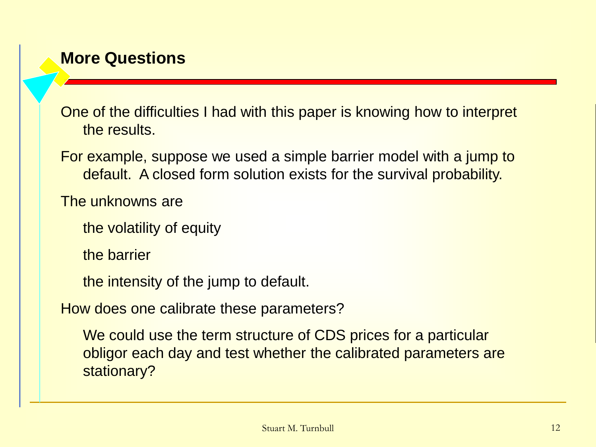## **More Questions**

One of the difficulties I had with this paper is knowing how to interpret the results.

For example, suppose we used a simple barrier model with a jump to default. A closed form solution exists for the survival probability.

The unknowns are

the volatility of equity

the barrier

the intensity of the jump to default.

How does one calibrate these parameters?

We could use the term structure of CDS prices for a particular obligor each day and test whether the calibrated parameters are stationary?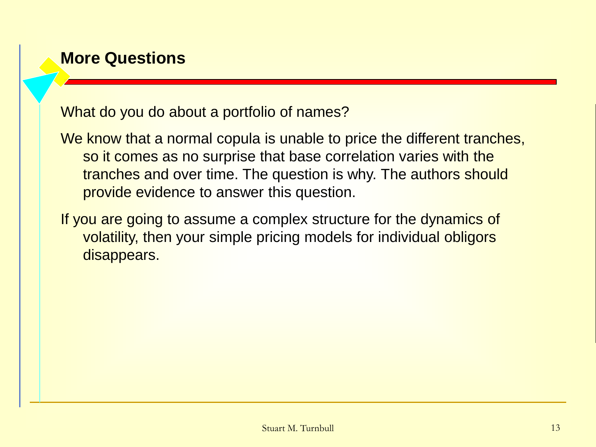## **More Questions**

What do you do about a portfolio of names?

We know that a normal copula is unable to price the different tranches, so it comes as no surprise that base correlation varies with the tranches and over time. The question is why. The authors should provide evidence to answer this question.

If you are going to assume a complex structure for the dynamics of volatility, then your simple pricing models for individual obligors disappears.